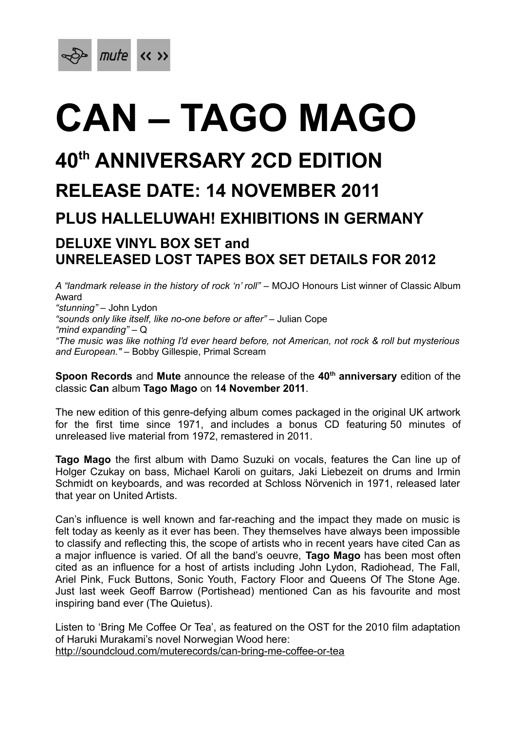

# **CAN – TAGO MAGO**

# **40th ANNIVERSARY 2CD EDITION**

## **RELEASE DATE: 14 NOVEMBER 2011**

### **PLUS HALLELUWAH! EXHIBITIONS IN GERMANY**

#### **DELUXE VINYL BOX SET and UNRELEASED LOST TAPES BOX SET DETAILS FOR 2012**

*A "landmark release in the history of rock 'n' roll"* – MOJO Honours List winner of Classic Album Award *"stunning"* – John Lydon *"sounds only like itself, like no-one before or after"* – Julian Cope *"mind expanding"* – Q *"The music was like nothing I'd ever heard before, not American, not rock & roll but mysterious and European."* – Bobby Gillespie, Primal Scream

**Spoon Records** and **Mute** announce the release of the **40th anniversary** edition of the classic **Can** album **Tago Mago** on **14 November 2011**.

The new edition of this genre-defying album comes packaged in the original UK artwork for the first time since 1971, and includes a bonus CD featuring 50 minutes of unreleased live material from 1972, remastered in 2011.

**Tago Mago** the first album with Damo Suzuki on vocals, features the Can line up of Holger Czukay on bass, Michael Karoli on guitars, Jaki Liebezeit on drums and Irmin Schmidt on keyboards, and was recorded at Schloss Nörvenich in 1971, released later that year on United Artists.

Can's influence is well known and far-reaching and the impact they made on music is felt today as keenly as it ever has been. They themselves have always been impossible to classify and reflecting this, the scope of artists who in recent years have cited Can as a major influence is varied. Of all the band's oeuvre, **Tago Mago** has been most often cited as an influence for a host of artists including John Lydon, Radiohead, The Fall, Ariel Pink, Fuck Buttons, Sonic Youth, Factory Floor and Queens Of The Stone Age. Just last week Geoff Barrow (Portishead) mentioned Can as his favourite and most inspiring band ever (The Quietus).

Listen to 'Bring Me Coffee Or Tea', as featured on the OST for the 2010 film adaptation of Haruki Murakami's novel Norwegian Wood here: http://soundcloud.com/muterecords/can-bring-me-coffee-or-tea